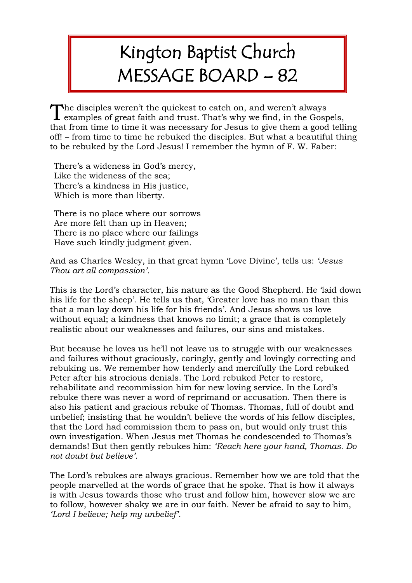## Kington Baptist Church MESSAGE BOARD – 82

The disciples weren't the quickest to catch on, and weren't always examples of great faith and trust. That's why we find, in the Gosp  $\perp$  examples of great faith and trust. That's why we find, in the Gospels, that from time to time it was necessary for Jesus to give them a good telling off! – from time to time he rebuked the disciples. But what a beautiful thing to be rebuked by the Lord Jesus! I remember the hymn of F. W. Faber:

There's a wideness in God's mercy, Like the wideness of the sea; There's a kindness in His justice, Which is more than liberty.

There is no place where our sorrows Are more felt than up in Heaven; There is no place where our failings Have such kindly judgment given.

And as Charles Wesley, in that great hymn 'Love Divine', tells us: *'Jesus Thou art all compassion'.*

This is the Lord's character, his nature as the Good Shepherd. He 'laid down his life for the sheep'. He tells us that, 'Greater love has no man than this that a man lay down his life for his friends'. And Jesus shows us love without equal; a kindness that knows no limit; a grace that is completely realistic about our weaknesses and failures, our sins and mistakes.

But because he loves us he'll not leave us to struggle with our weaknesses and failures without graciously, caringly, gently and lovingly correcting and rebuking us. We remember how tenderly and mercifully the Lord rebuked Peter after his atrocious denials. The Lord rebuked Peter to restore, rehabilitate and recommission him for new loving service. In the Lord's rebuke there was never a word of reprimand or accusation. Then there is also his patient and gracious rebuke of Thomas. Thomas, full of doubt and unbelief; insisting that he wouldn't believe the words of his fellow disciples, that the Lord had commission them to pass on, but would only trust this own investigation. When Jesus met Thomas he condescended to Thomas's demands! But then gently rebukes him: *'Reach here your hand, Thomas. Do not doubt but believe'.*

The Lord's rebukes are always gracious. Remember how we are told that the people marvelled at the words of grace that he spoke. That is how it always is with Jesus towards those who trust and follow him, however slow we are to follow, however shaky we are in our faith. Never be afraid to say to him, *'Lord I believe; help my unbelief'.*